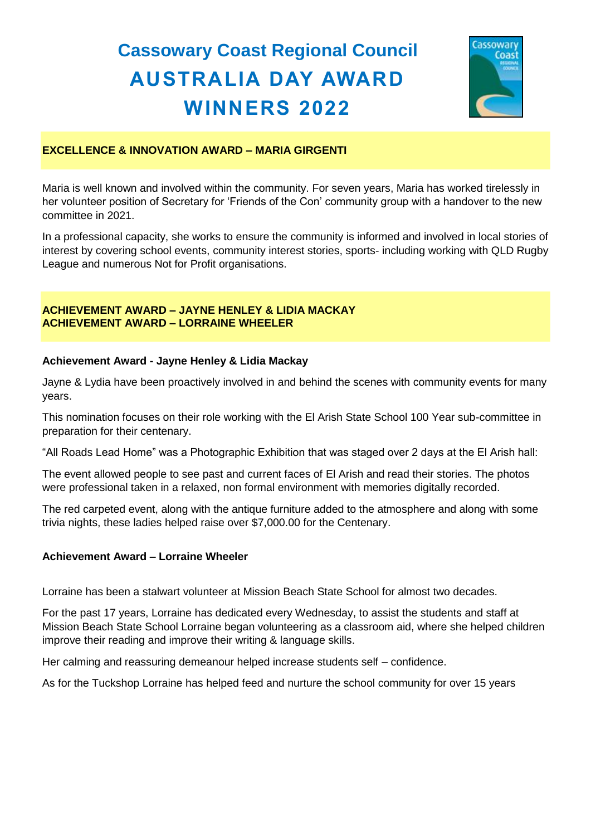# **Cassowary Coast Regional Council AUSTRALIA DAY AWARD WINNERS 2022**



# **EXCELLENCE & INNOVATION AWARD – MARIA GIRGENTI**

Maria is well known and involved within the community. For seven years, Maria has worked tirelessly in her volunteer position of Secretary for 'Friends of the Con' community group with a handover to the new committee in 2021.

In a professional capacity, she works to ensure the community is informed and involved in local stories of interest by covering school events, community interest stories, sports- including working with QLD Rugby League and numerous Not for Profit organisations.

# **ACHIEVEMENT AWARD – JAYNE HENLEY & LIDIA MACKAY ACHIEVEMENT AWARD – LORRAINE WHEELER**

# **Achievement Award - Jayne Henley & Lidia Mackay**

Jayne & Lydia have been proactively involved in and behind the scenes with community events for many years.

This nomination focuses on their role working with the El Arish State School 100 Year sub-committee in preparation for their centenary.

"All Roads Lead Home" was a Photographic Exhibition that was staged over 2 days at the El Arish hall:

The event allowed people to see past and current faces of El Arish and read their stories. The photos were professional taken in a relaxed, non formal environment with memories digitally recorded.

The red carpeted event, along with the antique furniture added to the atmosphere and along with some trivia nights, these ladies helped raise over \$7,000.00 for the Centenary.

# **Achievement Award – Lorraine Wheeler**

Lorraine has been a stalwart volunteer at Mission Beach State School for almost two decades.

For the past 17 years, Lorraine has dedicated every Wednesday, to assist the students and staff at Mission Beach State School Lorraine began volunteering as a classroom aid, where she helped children improve their reading and improve their writing & language skills.

Her calming and reassuring demeanour helped increase students self – confidence.

As for the Tuckshop Lorraine has helped feed and nurture the school community for over 15 years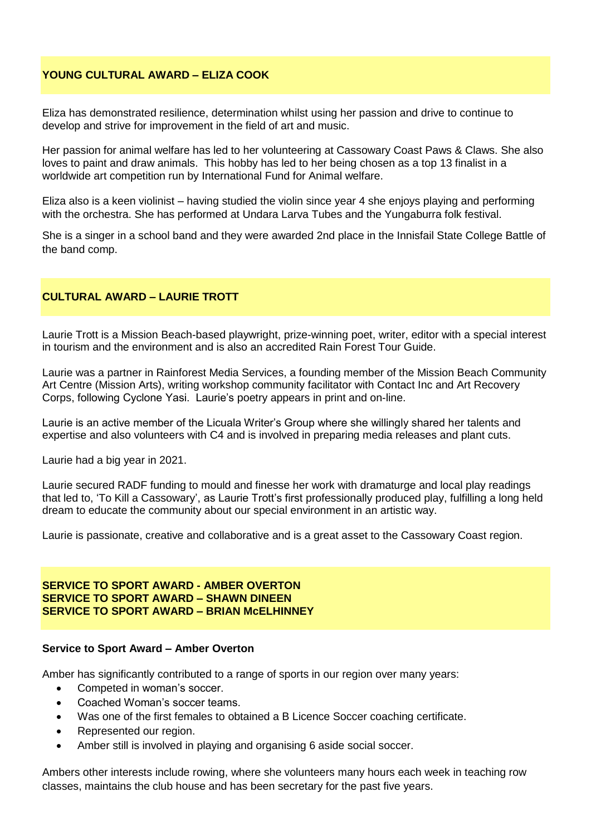# **YOUNG CULTURAL AWARD – ELIZA COOK**

Eliza has demonstrated resilience, determination whilst using her passion and drive to continue to develop and strive for improvement in the field of art and music.

Her passion for animal welfare has led to her volunteering at Cassowary Coast Paws & Claws. She also loves to paint and draw animals. This hobby has led to her being chosen as a top 13 finalist in a worldwide art competition run by International Fund for Animal welfare.

Eliza also is a keen violinist – having studied the violin since year 4 she enjoys playing and performing with the orchestra. She has performed at Undara Larva Tubes and the Yungaburra folk festival.

She is a singer in a school band and they were awarded 2nd place in the Innisfail State College Battle of the band comp.

# **CULTURAL AWARD – LAURIE TROTT**

Laurie Trott is a Mission Beach-based playwright, prize-winning poet, writer, editor with a special interest in tourism and the environment and is also an accredited Rain Forest Tour Guide.

Laurie was a partner in Rainforest Media Services, a founding member of the Mission Beach Community Art Centre (Mission Arts), writing workshop community facilitator with Contact Inc and Art Recovery Corps, following Cyclone Yasi. Laurie's poetry appears in print and on-line.

Laurie is an active member of the Licuala Writer's Group where she willingly shared her talents and expertise and also volunteers with C4 and is involved in preparing media releases and plant cuts.

Laurie had a big year in 2021.

Laurie secured RADF funding to mould and finesse her work with dramaturge and local play readings that led to, 'To Kill a Cassowary', as Laurie Trott's first professionally produced play, fulfilling a long held dream to educate the community about our special environment in an artistic way.

Laurie is passionate, creative and collaborative and is a great asset to the Cassowary Coast region.

#### **SERVICE TO SPORT AWARD - AMBER OVERTON SERVICE TO SPORT AWARD – SHAWN DINEEN SERVICE TO SPORT AWARD – BRIAN McELHINNEY**

#### **Service to Sport Award – Amber Overton**

Amber has significantly contributed to a range of sports in our region over many years:

- Competed in woman's soccer.
- Coached Woman's soccer teams.
- Was one of the first females to obtained a B Licence Soccer coaching certificate.
- Represented our region.
- Amber still is involved in playing and organising 6 aside social soccer.

Ambers other interests include rowing, where she volunteers many hours each week in teaching row classes, maintains the club house and has been secretary for the past five years.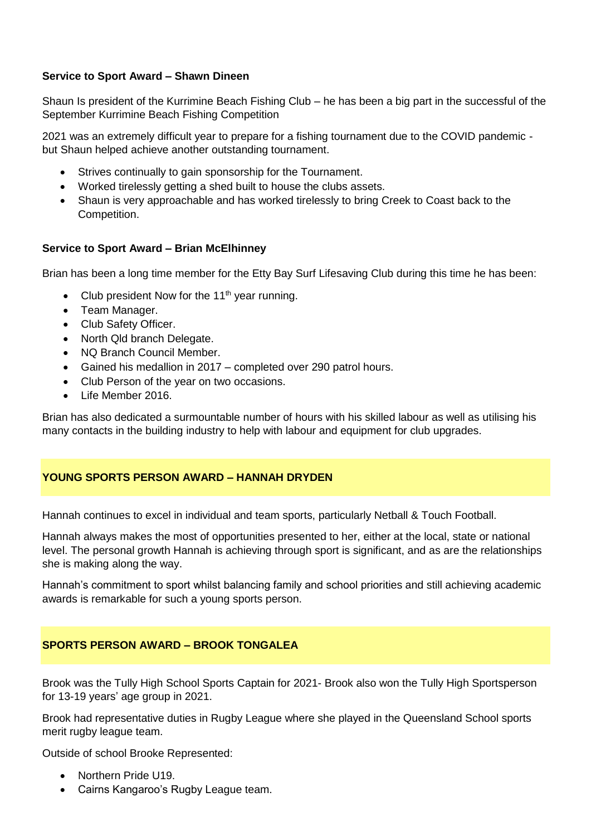# **Service to Sport Award – Shawn Dineen**

Shaun Is president of the Kurrimine Beach Fishing Club – he has been a big part in the successful of the September Kurrimine Beach Fishing Competition

2021 was an extremely difficult year to prepare for a fishing tournament due to the COVID pandemic but Shaun helped achieve another outstanding tournament.

- Strives continually to gain sponsorship for the Tournament.
- Worked tirelessly getting a shed built to house the clubs assets.
- Shaun is very approachable and has worked tirelessly to bring Creek to Coast back to the Competition.

# **Service to Sport Award – Brian McElhinney**

Brian has been a long time member for the Etty Bay Surf Lifesaving Club during this time he has been:

- Club president Now for the 11<sup>th</sup> year running.
- Team Manager.
- Club Safety Officer.
- North Qld branch Delegate.
- NQ Branch Council Member.
- Gained his medallion in 2017 completed over 290 patrol hours.
- Club Person of the year on two occasions.
- Life Member 2016.

Brian has also dedicated a surmountable number of hours with his skilled labour as well as utilising his many contacts in the building industry to help with labour and equipment for club upgrades.

# **YOUNG SPORTS PERSON AWARD – HANNAH DRYDEN**

Hannah continues to excel in individual and team sports, particularly Netball & Touch Football.

Hannah always makes the most of opportunities presented to her, either at the local, state or national level. The personal growth Hannah is achieving through sport is significant, and as are the relationships she is making along the way.

Hannah's commitment to sport whilst balancing family and school priorities and still achieving academic awards is remarkable for such a young sports person.

# **SPORTS PERSON AWARD – BROOK TONGALEA**

Brook was the Tully High School Sports Captain for 2021- Brook also won the Tully High Sportsperson for 13-19 years' age group in 2021.

Brook had representative duties in Rugby League where she played in the Queensland School sports merit rugby league team.

Outside of school Brooke Represented:

- Northern Pride U19.
- Cairns Kangaroo's Rugby League team.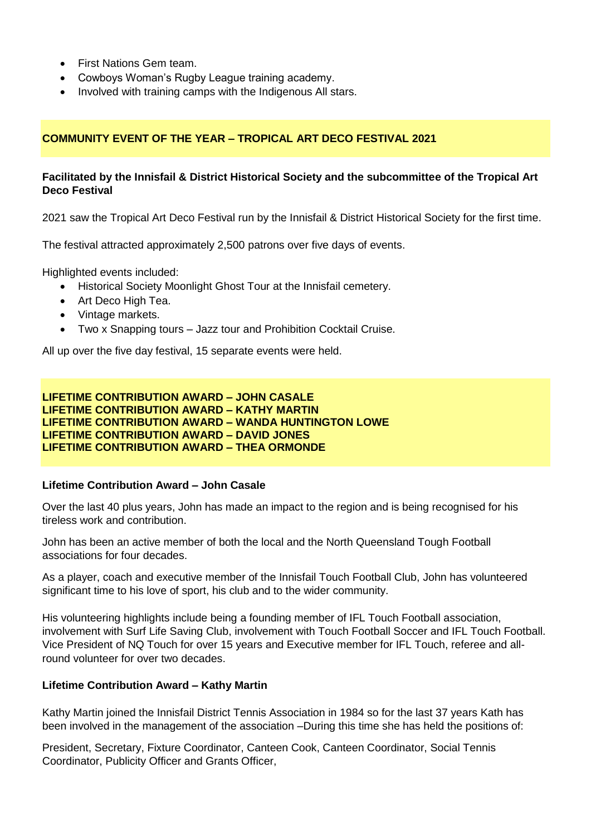- First Nations Gem team.
- Cowboys Woman's Rugby League training academy.
- Involved with training camps with the Indigenous All stars.

# **COMMUNITY EVENT OF THE YEAR – TROPICAL ART DECO FESTIVAL 2021**

# **Facilitated by the Innisfail & District Historical Society and the subcommittee of the Tropical Art Deco Festival**

2021 saw the Tropical Art Deco Festival run by the Innisfail & District Historical Society for the first time.

The festival attracted approximately 2,500 patrons over five days of events.

Highlighted events included:

- Historical Society Moonlight Ghost Tour at the Innisfail cemetery.
- Art Deco High Tea.
- Vintage markets.
- Two x Snapping tours Jazz tour and Prohibition Cocktail Cruise.

All up over the five day festival, 15 separate events were held.

**LIFETIME CONTRIBUTION AWARD – JOHN CASALE LIFETIME CONTRIBUTION AWARD – KATHY MARTIN LIFETIME CONTRIBUTION AWARD – WANDA HUNTINGTON LOWE LIFETIME CONTRIBUTION AWARD – DAVID JONES LIFETIME CONTRIBUTION AWARD – THEA ORMONDE**

#### **Lifetime Contribution Award – John Casale**

Over the last 40 plus years, John has made an impact to the region and is being recognised for his tireless work and contribution.

John has been an active member of both the local and the North Queensland Tough Football associations for four decades.

As a player, coach and executive member of the Innisfail Touch Football Club, John has volunteered significant time to his love of sport, his club and to the wider community.

His volunteering highlights include being a founding member of IFL Touch Football association, involvement with Surf Life Saving Club, involvement with Touch Football Soccer and IFL Touch Football. Vice President of NQ Touch for over 15 years and Executive member for IFL Touch, referee and allround volunteer for over two decades.

# **Lifetime Contribution Award – Kathy Martin**

Kathy Martin joined the Innisfail District Tennis Association in 1984 so for the last 37 years Kath has been involved in the management of the association –During this time she has held the positions of:

President, Secretary, Fixture Coordinator, Canteen Cook, Canteen Coordinator, Social Tennis Coordinator, Publicity Officer and Grants Officer,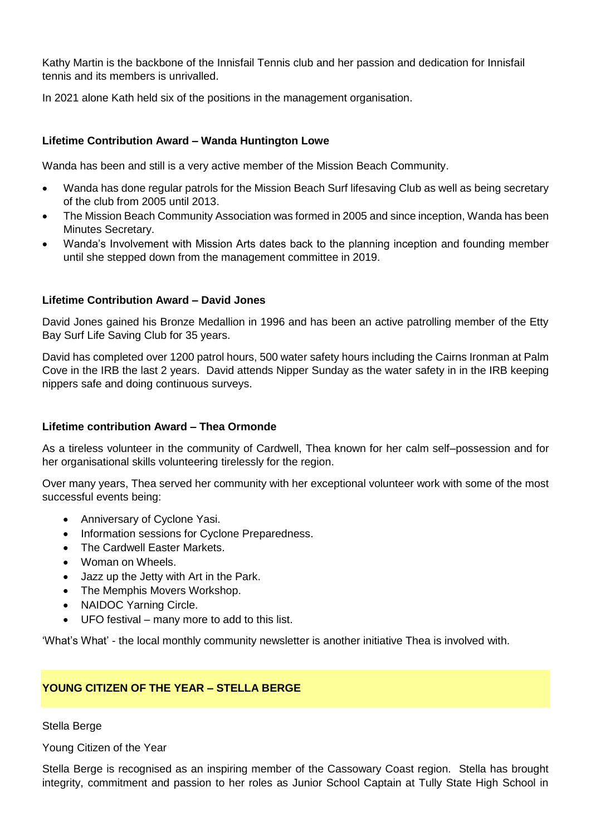Kathy Martin is the backbone of the Innisfail Tennis club and her passion and dedication for Innisfail tennis and its members is unrivalled.

In 2021 alone Kath held six of the positions in the management organisation.

# **Lifetime Contribution Award – Wanda Huntington Lowe**

Wanda has been and still is a very active member of the Mission Beach Community.

- Wanda has done regular patrols for the Mission Beach Surf lifesaving Club as well as being secretary of the club from 2005 until 2013.
- The Mission Beach Community Association was formed in 2005 and since inception, Wanda has been Minutes Secretary.
- Wanda's Involvement with Mission Arts dates back to the planning inception and founding member until she stepped down from the management committee in 2019.

# **Lifetime Contribution Award – David Jones**

David Jones gained his Bronze Medallion in 1996 and has been an active patrolling member of the Etty Bay Surf Life Saving Club for 35 years.

David has completed over 1200 patrol hours, 500 water safety hours including the Cairns Ironman at Palm Cove in the IRB the last 2 years. David attends Nipper Sunday as the water safety in in the IRB keeping nippers safe and doing continuous surveys.

# **Lifetime contribution Award – Thea Ormonde**

As a tireless volunteer in the community of Cardwell, Thea known for her calm self–possession and for her organisational skills volunteering tirelessly for the region.

Over many years, Thea served her community with her exceptional volunteer work with some of the most successful events being:

- Anniversary of Cyclone Yasi.
- Information sessions for Cyclone Preparedness.
- The Cardwell Easter Markets.
- Woman on Wheels.
- Jazz up the Jetty with Art in the Park.
- The Memphis Movers Workshop.
- NAIDOC Yarning Circle.
- UFO festival many more to add to this list.

'What's What' - the local monthly community newsletter is another initiative Thea is involved with.

# **YOUNG CITIZEN OF THE YEAR – STELLA BERGE**

# Stella Berge

Young Citizen of the Year

Stella Berge is recognised as an inspiring member of the Cassowary Coast region. Stella has brought integrity, commitment and passion to her roles as Junior School Captain at Tully State High School in